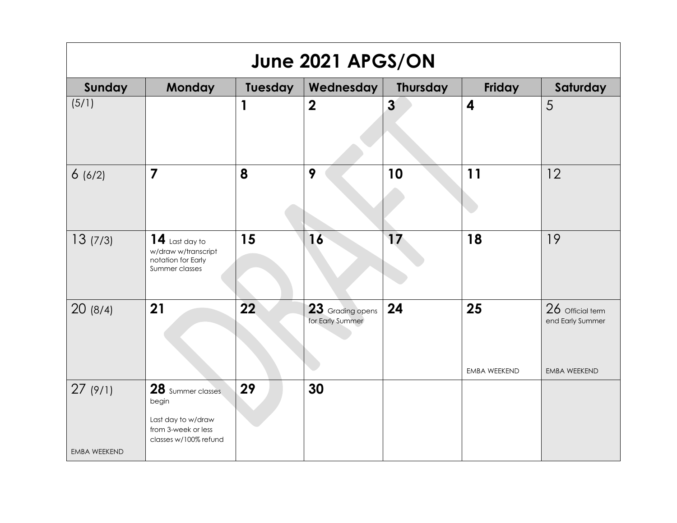| June 2021 APGS/ON              |                                                                                                  |         |                                      |                         |                         |                                                             |  |  |
|--------------------------------|--------------------------------------------------------------------------------------------------|---------|--------------------------------------|-------------------------|-------------------------|-------------------------------------------------------------|--|--|
| Sunday                         | <b>Monday</b>                                                                                    | Tuesday | Wednesday                            | <b>Thursday</b>         | Friday                  | Saturday                                                    |  |  |
| (5/1)                          |                                                                                                  | 1       | $\overline{\mathbf{2}}$              | $\overline{\mathbf{3}}$ | $\overline{\mathbf{4}}$ | 5                                                           |  |  |
| 6(6/2)                         | $\overline{\mathbf{7}}$                                                                          | 8       | 9                                    | 10                      | 11                      | 12                                                          |  |  |
| 13(7/3)                        | $14$ Last day to<br>w/draw w/transcript<br>notation for Early<br>Summer classes                  | 15      | 16                                   | 17                      | 18                      | 19                                                          |  |  |
| 20(8/4)                        | 21                                                                                               | 22      | 23 Grading opens<br>for Early Summer | 24                      | 25<br>EMBA WEEKEND      | 26 Official term<br>end Early Summer<br><b>EMBA WEEKEND</b> |  |  |
| 27(9/1)<br><b>EMBA WEEKEND</b> | 28 Summer classes<br>begin<br>Last day to w/draw<br>from 3-week or less<br>classes w/100% refund | 29      | 30                                   |                         |                         |                                                             |  |  |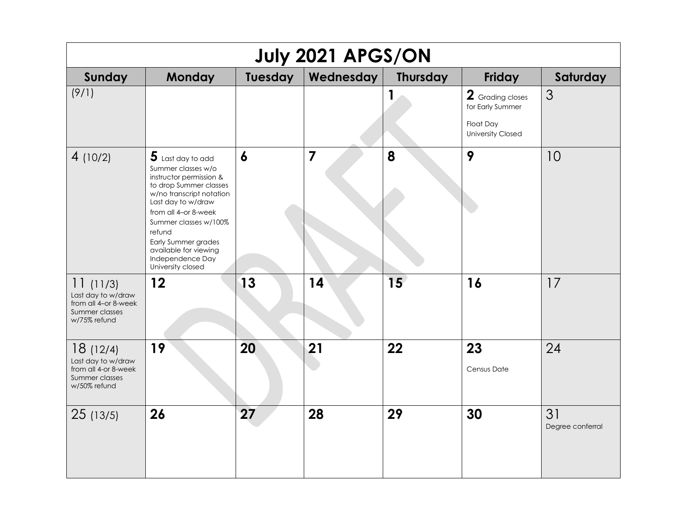| July 2021 APGS/ON                                                                        |                                                                                                                                                                                                                                                                                                      |                  |                |                 |                                                                               |                        |  |  |
|------------------------------------------------------------------------------------------|------------------------------------------------------------------------------------------------------------------------------------------------------------------------------------------------------------------------------------------------------------------------------------------------------|------------------|----------------|-----------------|-------------------------------------------------------------------------------|------------------------|--|--|
| Sunday                                                                                   | <b>Monday</b>                                                                                                                                                                                                                                                                                        | Tuesday          | Wednesday      | <b>Thursday</b> | Friday                                                                        | Saturday               |  |  |
| (9/1)                                                                                    |                                                                                                                                                                                                                                                                                                      |                  |                |                 | 2 Grading closes<br>for Early Summer<br>Float Day<br><b>University Closed</b> | 3                      |  |  |
| 4(10/2)                                                                                  | $5$ Last day to add<br>Summer classes w/o<br>instructor permission &<br>to drop Summer classes<br>w/no transcript notation<br>Last day to w/draw<br>from all 4-or 8-week<br>Summer classes w/100%<br>refund<br>Early Summer grades<br>available for viewing<br>Independence Day<br>University closed | $\boldsymbol{6}$ | $\overline{7}$ | 8               | 9                                                                             | 10                     |  |  |
| 11(11/3)<br>Last day to w/draw<br>from all 4-or 8-week<br>Summer classes<br>w/75% refund | 12                                                                                                                                                                                                                                                                                                   | 13               | 14             | 15 <sub>1</sub> | 16                                                                            | 17                     |  |  |
| 18(12/4)<br>Last day to w/draw<br>from all 4-or 8-week<br>Summer classes<br>w/50% refund | 19                                                                                                                                                                                                                                                                                                   | 20               | 21             | 22              | 23<br>Census Date                                                             | 24                     |  |  |
| 25(13/5)                                                                                 | 26                                                                                                                                                                                                                                                                                                   | 27               | 28             | 29              | 30                                                                            | 31<br>Degree conferral |  |  |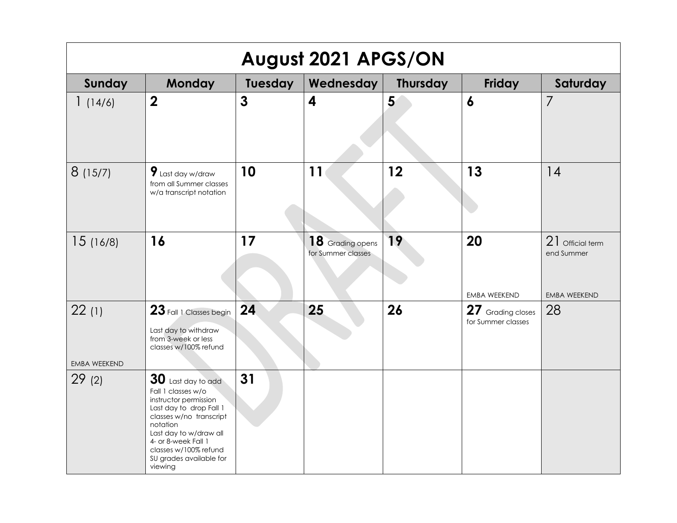| August 2021 APGS/ON          |                                                                                                                                                                                                                                                       |                |                                        |                 |                                         |                                                       |  |  |
|------------------------------|-------------------------------------------------------------------------------------------------------------------------------------------------------------------------------------------------------------------------------------------------------|----------------|----------------------------------------|-----------------|-----------------------------------------|-------------------------------------------------------|--|--|
| Sunday                       | <b>Monday</b>                                                                                                                                                                                                                                         | <b>Tuesday</b> | Wednesday                              | <b>Thursday</b> | Friday                                  | Saturday                                              |  |  |
| 1(14/6)                      | $\boldsymbol{2}$                                                                                                                                                                                                                                      | $\mathbf{3}$   | 4                                      | 5               | $\boldsymbol{6}$                        | 7                                                     |  |  |
| 8(15/7)                      | $9$ Last day w/draw<br>from all Summer classes<br>w/a transcript notation                                                                                                                                                                             | 10             | 11                                     | 12              | 13                                      | 14                                                    |  |  |
| 15(16/8)                     | 16                                                                                                                                                                                                                                                    | 17             | 18 Grading opens<br>for Summer classes | 19              | 20<br><b>EMBA WEEKEND</b>               | 21 Official term<br>end Summer<br><b>EMBA WEEKEND</b> |  |  |
| 22(1)<br><b>EMBA WEEKEND</b> | $23$ Fall 1 Classes begin<br>Last day to withdraw<br>from 3-week or less<br>classes w/100% refund                                                                                                                                                     | 24             | 25                                     | 26              | 27 Grading closes<br>for Summer classes | 28                                                    |  |  |
| 29(2)                        | $30$ Last day to add<br>Fall 1 classes w/o<br>instructor permission<br>Last day to drop Fall 1<br>classes w/no transcript<br>notation<br>Last day to w/draw all<br>4- or 8-week Fall 1<br>classes w/100% refund<br>SU grades available for<br>viewing | 31             |                                        |                 |                                         |                                                       |  |  |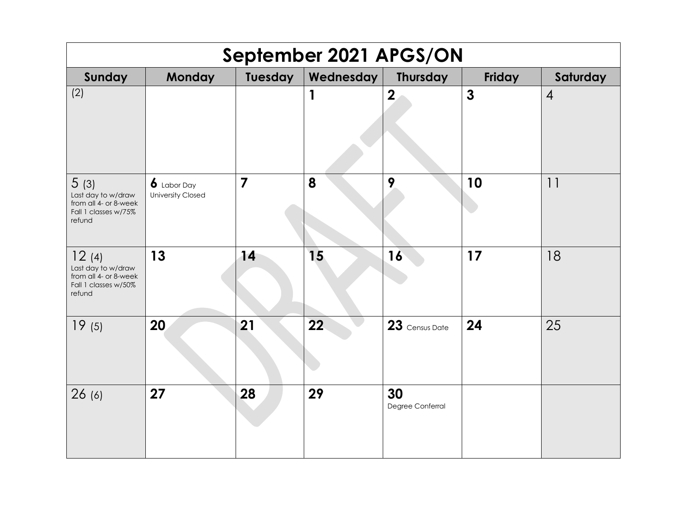| September 2021 APGS/ON                                                                 |                                                        |                |                  |                        |              |                |  |  |
|----------------------------------------------------------------------------------------|--------------------------------------------------------|----------------|------------------|------------------------|--------------|----------------|--|--|
| Sunday                                                                                 | <b>Monday</b>                                          | Tuesday        | <b>Wednesday</b> | <b>Thursday</b>        | Friday       | Saturday       |  |  |
| (2)                                                                                    |                                                        |                | 1                | $\boldsymbol{2}$       | $\mathbf{3}$ | $\overline{4}$ |  |  |
| 5(3)<br>Last day to w/draw<br>from all 4- or 8-week<br>Fall 1 classes w/75%<br>refund  | $\boldsymbol{b}$ Labor Day<br><b>University Closed</b> | $\overline{7}$ | 8                | 9                      | 10           | 11             |  |  |
| 12(4)<br>Last day to w/draw<br>from all 4- or 8-week<br>Fall 1 classes w/50%<br>refund | 13                                                     | 14             | 15               | 16                     | 17           | 18             |  |  |
| 19(5)                                                                                  | 20                                                     | 21             | 22               | 23 Census Date         | 24           | 25             |  |  |
| 26(6)                                                                                  | 27                                                     | 28             | 29               | 30<br>Degree Conferral |              |                |  |  |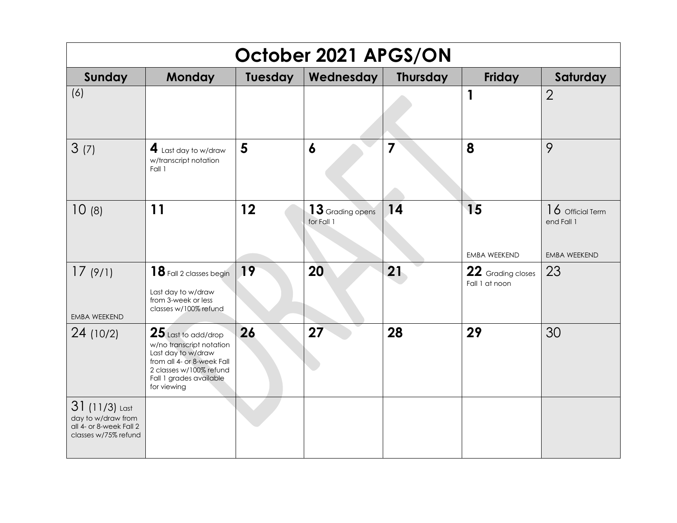| October 2021 APGS/ON                                                                     |                                                                                                                                                                            |         |                                  |                 |                                     |                                                         |  |  |
|------------------------------------------------------------------------------------------|----------------------------------------------------------------------------------------------------------------------------------------------------------------------------|---------|----------------------------------|-----------------|-------------------------------------|---------------------------------------------------------|--|--|
| Sunday                                                                                   | Monday                                                                                                                                                                     | Tuesday | Wednesday                        | <b>Thursday</b> | Friday                              | Saturday                                                |  |  |
| (6)                                                                                      |                                                                                                                                                                            |         |                                  |                 | 1                                   | $\overline{2}$                                          |  |  |
| 3(7)                                                                                     | $\blacktriangleleft$ Last day to w/draw<br>w/transcript notation<br>Fall 1                                                                                                 | 5       | $\boldsymbol{6}$                 | 7               | 8                                   | 9                                                       |  |  |
| 10(8)                                                                                    | 11                                                                                                                                                                         | 12      | $13$ Grading opens<br>for Fall 1 | 14              | 15<br><b>EMBA WEEKEND</b>           | $16$ Official Term<br>end Fall 1<br><b>EMBA WEEKEND</b> |  |  |
| 17(9/1)<br><b>EMBA WEEKEND</b>                                                           | 18 Fall 2 classes begin<br>Last day to w/draw<br>from 3-week or less<br>classes w/100% refund                                                                              | 19      | 20                               | 21              | 22 Grading closes<br>Fall 1 at noon | 23                                                      |  |  |
| 24 (10/2)                                                                                | $25$ Last to add/drop<br>w/no transcript notation<br>Last day to w/draw<br>from all 4- or 8-week Fall<br>2 classes w/100% refund<br>Fall 1 grades available<br>for viewing | 26      | 27                               | 28              | 29                                  | 30                                                      |  |  |
| $31(11/3)$ Last<br>day to w/draw from<br>all 4- or 8-week Fall 2<br>classes w/75% refund |                                                                                                                                                                            |         |                                  |                 |                                     |                                                         |  |  |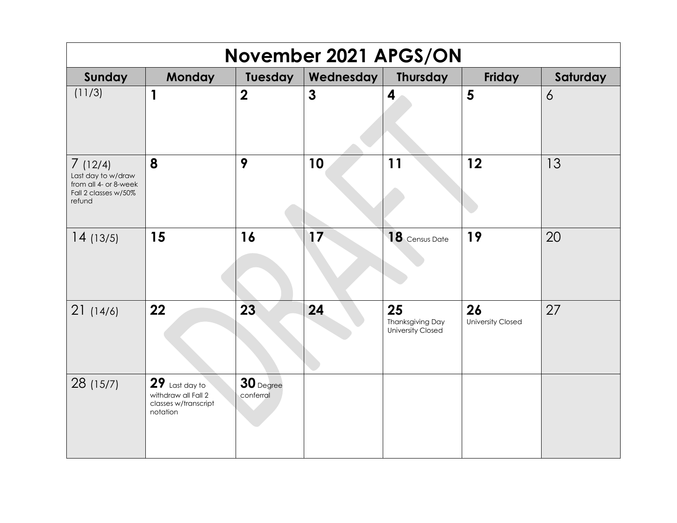| <b>November 2021 APGS/ON</b>                                                             |                                                                             |                          |                  |                                                    |                                |          |  |  |
|------------------------------------------------------------------------------------------|-----------------------------------------------------------------------------|--------------------------|------------------|----------------------------------------------------|--------------------------------|----------|--|--|
| Sunday                                                                                   | Monday                                                                      | Tuesday                  | <b>Wednesday</b> | <b>Thursday</b>                                    | Friday                         | Saturday |  |  |
| (11/3)                                                                                   | $\mathbf{1}$                                                                | $\boldsymbol{2}$         | $\mathbf{3}$     | 4                                                  | 5                              | 6        |  |  |
| 7(12/4)<br>Last day to w/draw<br>from all 4- or 8-week<br>Fall 2 classes w/50%<br>refund | 8                                                                           | 9                        | 10               | 11                                                 | 12                             | 13       |  |  |
| 14(13/5)                                                                                 | 15                                                                          | 16                       | 17               | 18 Census Date                                     | 19                             | 20       |  |  |
| 21(14/6)                                                                                 | 22                                                                          | 23                       | 24               | 25<br><b>Thanksgiving Day</b><br>University Closed | 26<br><b>University Closed</b> | 27       |  |  |
| 28 (15/7)                                                                                | $29$ Last day to<br>withdraw all Fall 2<br>classes w/transcript<br>notation | $30$ Degree<br>conferral |                  |                                                    |                                |          |  |  |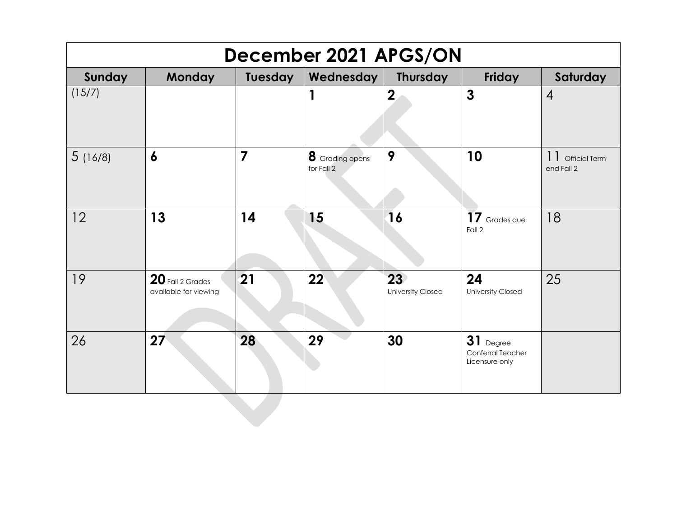| December 2021 APGS/ON |                                           |                |                               |                                             |                                                     |                                          |  |  |
|-----------------------|-------------------------------------------|----------------|-------------------------------|---------------------------------------------|-----------------------------------------------------|------------------------------------------|--|--|
| Sunday                | Monday                                    | Tuesday        | Wednesday                     | Thursday                                    | Friday                                              | Saturday                                 |  |  |
| (15/7)                |                                           |                | 1                             | $\boldsymbol{2}$                            | $\mathbf{3}$                                        | $\overline{4}$                           |  |  |
| 5(16/8)               | $\boldsymbol{6}$                          | $\overline{7}$ | 8 Grading opens<br>for Fall 2 | 9                                           | 10                                                  | 11<br><b>Official Term</b><br>end Fall 2 |  |  |
| 12                    | 13                                        | 14             | 15                            | 16                                          | 17 Grades due<br>Fall 2                             | 18                                       |  |  |
| 19                    | 20 Fall 2 Grades<br>available for viewing | 21             | 22                            | 23 <sup>°</sup><br><b>University Closed</b> | 24<br>University Closed                             | 25                                       |  |  |
| 26                    | 27                                        | 28             | 29                            | 30                                          | 31<br>Degree<br>Conferral Teacher<br>Licensure only |                                          |  |  |
|                       |                                           |                |                               |                                             |                                                     |                                          |  |  |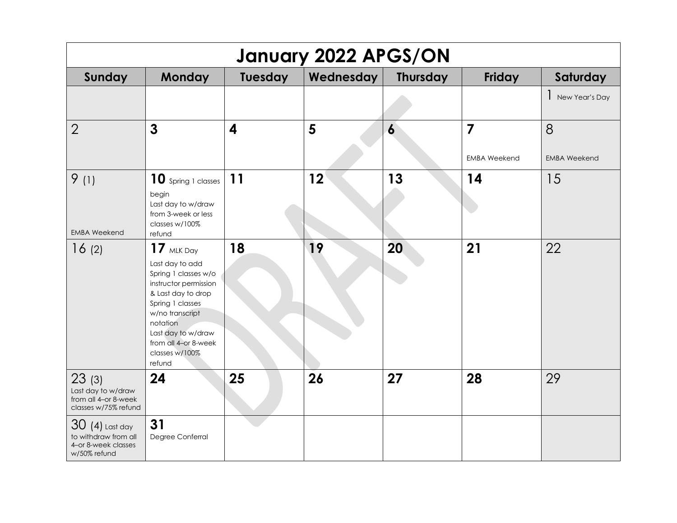| January 2022 APGS/ON                                                            |                                                                                                                                                                                                                                     |         |           |                  |                         |                     |  |
|---------------------------------------------------------------------------------|-------------------------------------------------------------------------------------------------------------------------------------------------------------------------------------------------------------------------------------|---------|-----------|------------------|-------------------------|---------------------|--|
| Sunday                                                                          | <b>Monday</b>                                                                                                                                                                                                                       | Tuesday | Wednesday | <b>Thursday</b>  | Friday                  | Saturday            |  |
|                                                                                 |                                                                                                                                                                                                                                     |         |           |                  |                         | New Year's Day      |  |
| $\overline{2}$                                                                  | $\mathbf{3}$                                                                                                                                                                                                                        | 4       | 5         | $\boldsymbol{6}$ | $\overline{\mathbf{z}}$ | 8                   |  |
|                                                                                 |                                                                                                                                                                                                                                     |         |           |                  | <b>EMBA Weekend</b>     | <b>EMBA Weekend</b> |  |
| 9(1)<br><b>EMBA Weekend</b>                                                     | 10 Spring 1 classes<br>begin<br>Last day to w/draw<br>from 3-week or less<br>classes w/100%<br>refund                                                                                                                               | 11      | 12        | 13               | 14                      | 15                  |  |
| 16(2)                                                                           | $17$ MLK Day<br>Last day to add<br>Spring 1 classes w/o<br>instructor permission<br>& Last day to drop<br>Spring 1 classes<br>w/no transcript<br>notation<br>Last day to w/draw<br>from all 4-or 8-week<br>classes w/100%<br>refund | 18      | 19        | 20               | 21                      | 22                  |  |
| 23(3)<br>Last day to w/draw<br>from all 4-or 8-week<br>classes w/75% refund     | 24                                                                                                                                                                                                                                  | 25      | 26        | 27               | 28                      | 29                  |  |
| $30(4)$ Last day<br>to withdraw from all<br>4-or 8-week classes<br>w/50% refund | 31<br>Degree Conferral                                                                                                                                                                                                              |         |           |                  |                         |                     |  |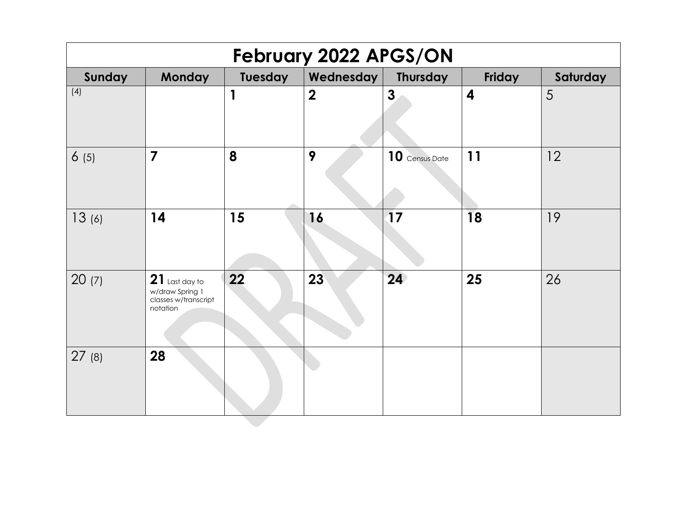| February 2022 APGS/ON |                                                                         |         |                |                  |                         |          |  |  |
|-----------------------|-------------------------------------------------------------------------|---------|----------------|------------------|-------------------------|----------|--|--|
| Sunday                | <b>Monday</b>                                                           | Tuesday | Wednesday      | <b>Thursday</b>  | Friday                  | Saturday |  |  |
| (4)                   |                                                                         | 1       | $\overline{2}$ | $\boldsymbol{3}$ | $\overline{\mathbf{4}}$ | 5        |  |  |
| 6(5)                  | $\overline{7}$                                                          | 8       | 9              | 10 Census Date   | 11                      | 12       |  |  |
| 13(6)                 | 14                                                                      | 15      | 16             | $\overline{17}$  | <b>18</b>               | 19       |  |  |
| 20(7)                 | $21$ Last day to<br>w/draw Spring 1<br>classes w/transcript<br>notation | 22      | 23             | 24               | 25                      | 26       |  |  |
| 27(8)                 | 28                                                                      |         |                |                  |                         |          |  |  |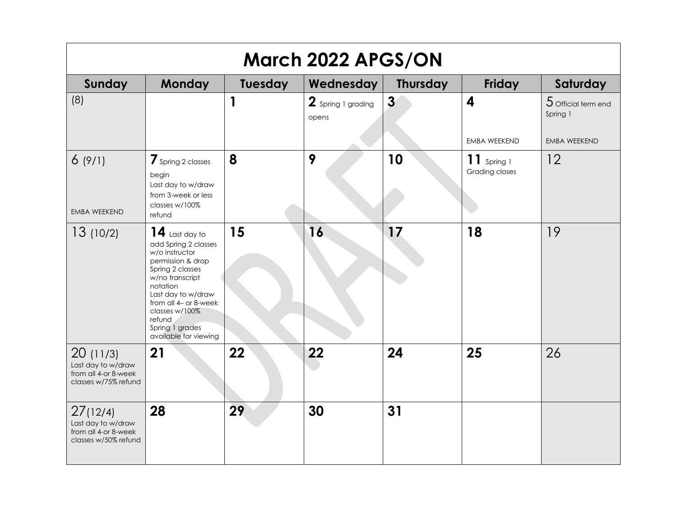| March 2022 APGS/ON                                                             |                                                                                                                                                                                                                                                           |              |                             |                 |                                                |                                                          |  |  |
|--------------------------------------------------------------------------------|-----------------------------------------------------------------------------------------------------------------------------------------------------------------------------------------------------------------------------------------------------------|--------------|-----------------------------|-----------------|------------------------------------------------|----------------------------------------------------------|--|--|
| Sunday                                                                         | <b>Monday</b>                                                                                                                                                                                                                                             | Tuesday      | Wednesday                   | <b>Thursday</b> | Friday                                         | Saturday                                                 |  |  |
| (8)                                                                            |                                                                                                                                                                                                                                                           | $\mathbf{1}$ | 2 Spring 1 grading<br>opens | $\mathbf{3}$    | $\overline{\mathbf{4}}$<br><b>EMBA WEEKEND</b> | $5$ Official term end<br>Spring 1<br><b>EMBA WEEKEND</b> |  |  |
| 6(9/1)<br><b>EMBA WEEKEND</b>                                                  | 7 Spring 2 classes<br>begin<br>Last day to w/draw<br>from 3-week or less<br>classes w/100%<br>refund                                                                                                                                                      | 8            | 9                           | 10              | $11$ Spring 1<br>Grading closes                | 12                                                       |  |  |
| 13(10/2)                                                                       | $14$ Last day to<br>add Spring 2 classes<br>w/o instructor<br>permission & drop<br>Spring 2 classes<br>w/no transcript<br>notation<br>Last day to w/draw<br>from all 4- or 8-week<br>classes w/100%<br>refund<br>Spring 1 grades<br>available for viewing | 15           | 16                          | 17              | 18                                             | 19                                                       |  |  |
| 20(11/3)<br>Last day to w/draw<br>from all 4-or 8-week<br>classes w/75% refund | 21                                                                                                                                                                                                                                                        | 22           | 22                          | 24              | 25                                             | 26                                                       |  |  |
| 27(12/4)<br>Last day to w/draw<br>from all 4-or 8-week<br>classes w/50% refund | 28                                                                                                                                                                                                                                                        | 29           | 30                          | 31              |                                                |                                                          |  |  |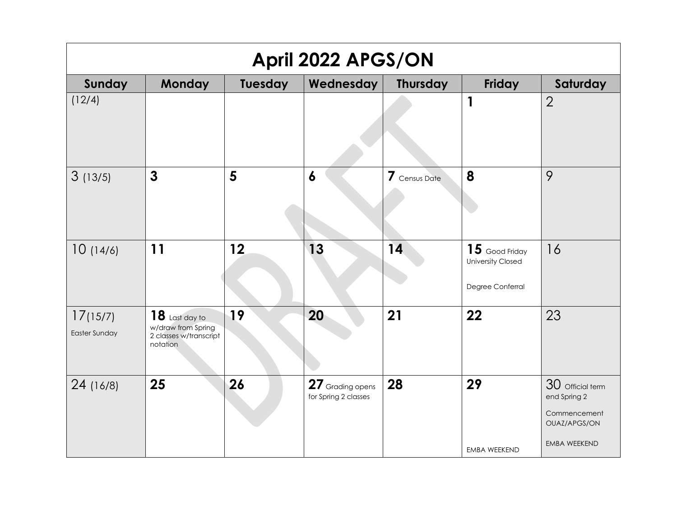| April 2022 APGS/ON               |                                                                              |         |                                          |                 |                                                                  |                                                                                         |  |  |
|----------------------------------|------------------------------------------------------------------------------|---------|------------------------------------------|-----------------|------------------------------------------------------------------|-----------------------------------------------------------------------------------------|--|--|
| Sunday                           | <b>Monday</b>                                                                | Tuesday | Wednesday                                | <b>Thursday</b> | Friday                                                           | Saturday                                                                                |  |  |
| (12/4)                           |                                                                              |         |                                          |                 | $\mathbf 1$                                                      | $\overline{2}$                                                                          |  |  |
| 3(13/5)                          | $\mathbf{3}$                                                                 | 5       | $\boldsymbol{6}$                         | 7 Census Date   | 8                                                                | 9                                                                                       |  |  |
| 10(14/6)                         | 11                                                                           | 12      | 13                                       | 14              | $15$ Good Friday<br><b>University Closed</b><br>Degree Conferral | 16                                                                                      |  |  |
| 17(15/7)<br><b>Easter Sunday</b> | $18$ Last day to<br>w/draw from Spring<br>2 classes w/transcript<br>notation | 19      | 20                                       | 21              | 22                                                               | 23                                                                                      |  |  |
| 24 (16/8)                        | 25                                                                           | 26      | 27 Grading opens<br>for Spring 2 classes | 28              | 29<br>EMBA WEEKEND                                               | 30 Official term<br>end Spring 2<br>Commencement<br>OUAZ/APGS/ON<br><b>EMBA WEEKEND</b> |  |  |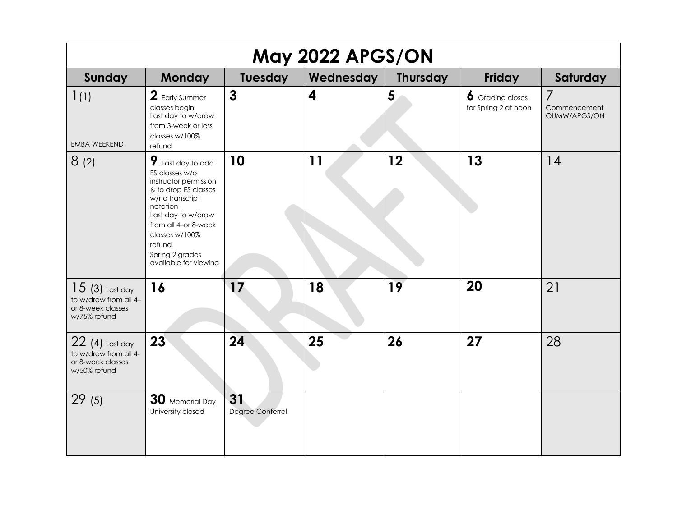| May 2022 APGS/ON                                                               |                                                                                                                                                                                                                                             |                        |                         |                 |                                                 |                                   |  |  |
|--------------------------------------------------------------------------------|---------------------------------------------------------------------------------------------------------------------------------------------------------------------------------------------------------------------------------------------|------------------------|-------------------------|-----------------|-------------------------------------------------|-----------------------------------|--|--|
| Sunday                                                                         | <b>Monday</b>                                                                                                                                                                                                                               | <b>Tuesday</b>         | Wednesday               | <b>Thursday</b> | Friday                                          | Saturday                          |  |  |
| 1(1)<br><b>EMBA WEEKEND</b>                                                    | 2 Early Summer<br>classes begin<br>Last day to w/draw<br>from 3-week or less<br>classes w/100%<br>refund                                                                                                                                    | $\mathbf{3}$           | $\overline{\mathbf{4}}$ | 5               | <b>6</b> Grading closes<br>for Spring 2 at noon | 7<br>Commencement<br>OUMW/APGS/ON |  |  |
| 8(2)                                                                           | $9$ Last day to add<br>ES classes w/o<br>instructor permission<br>& to drop ES classes<br>w/no transcript<br>notation<br>Last day to w/draw<br>from all 4-or 8-week<br>classes w/100%<br>refund<br>Spring 2 grades<br>available for viewing | 10                     | 11                      | 12              | 13                                              | 14                                |  |  |
| $15(3)$ Last day<br>to w/draw from all 4-<br>or 8-week classes<br>w/75% refund | 16                                                                                                                                                                                                                                          | 17                     | 18                      | 19              | 20                                              | 21                                |  |  |
| $22(4)$ Last day<br>to w/draw from all 4-<br>or 8-week classes<br>w/50% refund | 23                                                                                                                                                                                                                                          | 24                     | 25                      | 26              | 27                                              | 28                                |  |  |
| 29(5)                                                                          | 30 Memorial Day<br>University closed                                                                                                                                                                                                        | 31<br>Degree Conferral |                         |                 |                                                 |                                   |  |  |